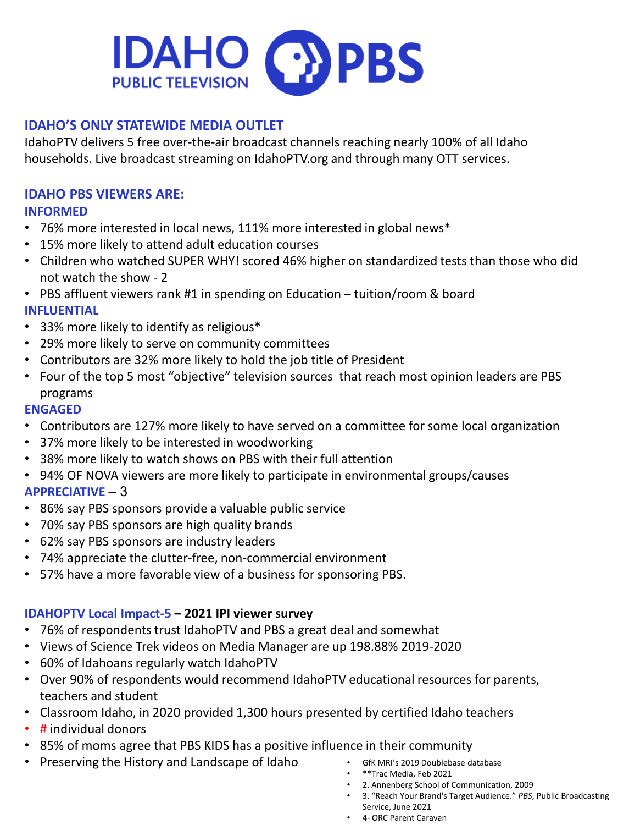

# **IDAHO'S ONLY STATEWIDE MEDIA OUTLET**

IdahoPTV delivers 5 free over-the-air broadcast channels reaching nearly 100% of all Idaho households. Live broadcast streaming on IdahoPTV.org and through many OTT services.

## **IDAHO PBS VIEWERS ARE: INFORMED**

- 76% more interested in local news, 111% more interested in global news\*
- 15% more likely to attend adult education courses
- Children who watched SUPER WHY! scored 46% higher on standardized tests than those who did not watch the show - 2
- PBS affluent viewers rank #1 in spending on Education tuition/room & board

## **INFLUENTIAL**

- 33% more likely to identify as religious\*
- 29% more likely to serve on community committees
- Contributors are 32% more likely to hold the job title of President
- Four of the top 5 most "objective" television sources that reach most opinion leaders are PBS programs

#### **ENGAGED**

- Contributors are 127% more likely to have served on a committee for some local organization
- 37% more likely to be interested in woodworking
- 38% more likely to watch shows on PBS with their full attention
- 94% OF NOVA viewers are more likely to participate in environmental groups/causes

# **APPRECIATIVE** – 3

- 86% say PBS sponsors provide a valuable public service
- 70% say PBS sponsors are high quality brands
- 62% say PBS sponsors are industry leaders
- 74% appreciate the clutter-free, non-commercial environment
- 57% have a more favorable view of a business for sponsoring PBS.

# **IDAHOPTV Local Impact-5 – 2021 IPI viewer survey**

- 76% of respondents trust IdahoPTV and PBS a great deal and somewhat
- Views of Science Trek videos on Media Manager are up 198.88% 2019-2020
- 60% of Idahoans regularly watch IdahoPTV
- Over 90% of respondents would recommend IdahoPTV educational resources for parents, teachers and student
- Classroom Idaho, in 2020 provided 1,300 hours presented by certified Idaho teachers
- # individual donors
- 85% of moms agree that PBS KIDS has a positive influence in their community
- Preserving the History and Landscape of Idaho GfK MRI's 2019 Doublebase database
	-
	- \*\*Trac Media, Feb 2021
	- 2. Annenberg School of Communication, 2009
	- 3. "Reach Your Brand's Target Audience." *PBS*, Public Broadcasting Service, June 2021
	- 4- ORC Parent Caravan
	-